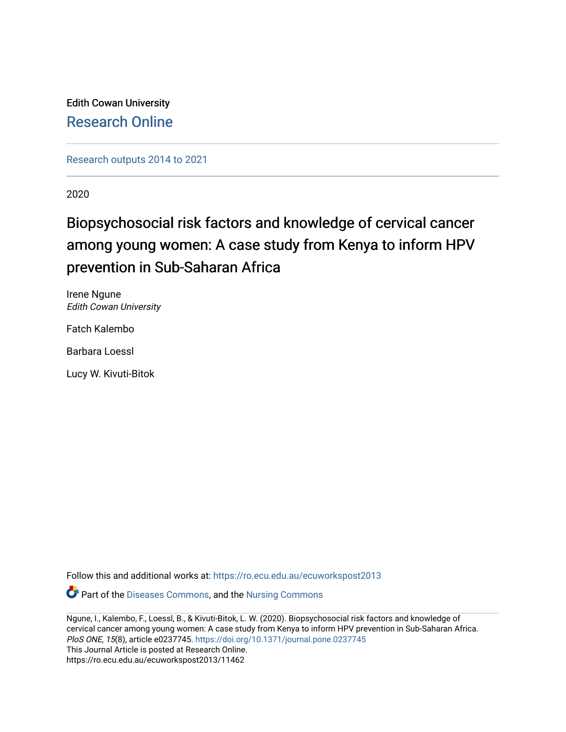Edith Cowan University [Research Online](https://ro.ecu.edu.au/) 

[Research outputs 2014 to 2021](https://ro.ecu.edu.au/ecuworkspost2013) 

2020

# Biopsychosocial risk factors and knowledge of cervical cancer among young women: A case study from Kenya to inform HPV prevention in Sub-Saharan Africa

Irene Ngune Edith Cowan University

Fatch Kalembo

Barbara Loessl

Lucy W. Kivuti-Bitok

Follow this and additional works at: [https://ro.ecu.edu.au/ecuworkspost2013](https://ro.ecu.edu.au/ecuworkspost2013?utm_source=ro.ecu.edu.au%2Fecuworkspost2013%2F11462&utm_medium=PDF&utm_campaign=PDFCoverPages) 

Part of the [Diseases Commons](http://network.bepress.com/hgg/discipline/813?utm_source=ro.ecu.edu.au%2Fecuworkspost2013%2F11462&utm_medium=PDF&utm_campaign=PDFCoverPages), and the [Nursing Commons](http://network.bepress.com/hgg/discipline/718?utm_source=ro.ecu.edu.au%2Fecuworkspost2013%2F11462&utm_medium=PDF&utm_campaign=PDFCoverPages) 

Ngune, I., Kalembo, F., Loessl, B., & Kivuti-Bitok, L. W. (2020). Biopsychosocial risk factors and knowledge of cervical cancer among young women: A case study from Kenya to inform HPV prevention in Sub-Saharan Africa. PloS ONE, 15(8), article e0237745. <https://doi.org/10.1371/journal.pone.0237745> This Journal Article is posted at Research Online. https://ro.ecu.edu.au/ecuworkspost2013/11462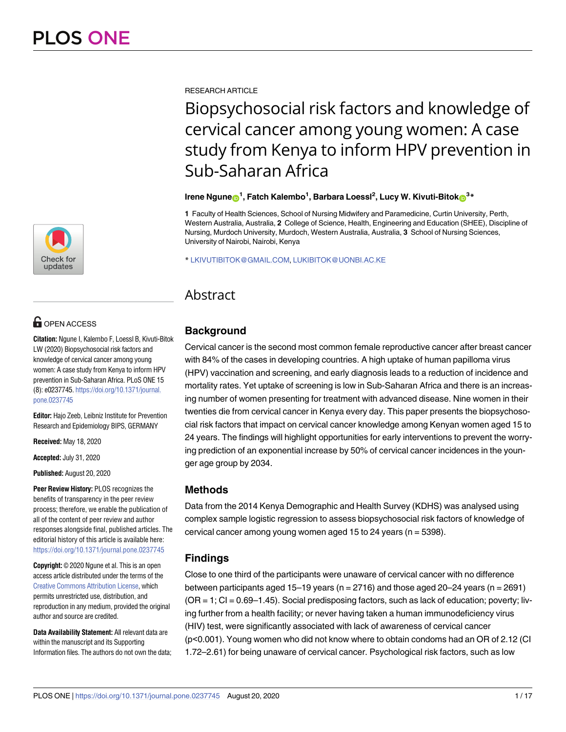

# **OPEN ACCESS**

**Citation:** Ngune I, Kalembo F, Loessl B, Kivuti-Bitok LW (2020) Biopsychosocial risk factors and knowledge of cervical cancer among young women: A case study from Kenya to inform HPV prevention in Sub-Saharan Africa. PLoS ONE 15 (8): e0237745. [https://doi.org/10.1371/journal.](https://doi.org/10.1371/journal.pone.0237745) [pone.0237745](https://doi.org/10.1371/journal.pone.0237745)

**Editor:** Hajo Zeeb, Leibniz Institute for Prevention Research and Epidemiology BIPS, GERMANY

**Received:** May 18, 2020

**Accepted:** July 31, 2020

**Published:** August 20, 2020

**Peer Review History:** PLOS recognizes the benefits of transparency in the peer review process; therefore, we enable the publication of all of the content of peer review and author responses alongside final, published articles. The editorial history of this article is available here: <https://doi.org/10.1371/journal.pone.0237745>

**Copyright:** © 2020 Ngune et al. This is an open access article distributed under the terms of the Creative Commons [Attribution](http://creativecommons.org/licenses/by/4.0/) License, which permits unrestricted use, distribution, and reproduction in any medium, provided the original author and source are credited.

**Data Availability Statement:** All relevant data are within the manuscript and its Supporting Information files. The authors do not own the data; RESEARCH ARTICLE

# Biopsychosocial risk factors and knowledge of cervical cancer among young women: A case study from Kenya to inform HPV prevention in Sub-Saharan Africa

# $\mathbf{F}$  Irene Ngune $\mathbf{D}^1$ , Fatch Kalembo<sup>1</sup>, Barbara Loessl<sup>2</sup>, Lucy W. Kivuti-Bitok $\mathbf{D}^3$ \*

**1** Faculty of Health Sciences, School of Nursing Midwifery and Paramedicine, Curtin University, Perth, Western Australia, Australia, **2** College of Science, Health, Engineering and Education (SHEE), Discipline of Nursing, Murdoch University, Murdoch, Western Australia, Australia, **3** School of Nursing Sciences, University of Nairobi, Nairobi, Kenya

\* LKIVUTIBITOK@GMAIL.COM, LUKIBITOK@UONBI.AC.KE

# Abstract

# **Background**

Cervical cancer is the second most common female reproductive cancer after breast cancer with 84% of the cases in developing countries. A high uptake of human papilloma virus (HPV) vaccination and screening, and early diagnosis leads to a reduction of incidence and mortality rates. Yet uptake of screening is low in Sub-Saharan Africa and there is an increasing number of women presenting for treatment with advanced disease. Nine women in their twenties die from cervical cancer in Kenya every day. This paper presents the biopsychosocial risk factors that impact on cervical cancer knowledge among Kenyan women aged 15 to 24 years. The findings will highlight opportunities for early interventions to prevent the worrying prediction of an exponential increase by 50% of cervical cancer incidences in the younger age group by 2034.

# **Methods**

Data from the 2014 Kenya Demographic and Health Survey (KDHS) was analysed using complex sample logistic regression to assess biopsychosocial risk factors of knowledge of cervical cancer among young women aged 15 to 24 years (n = 5398).

# **Findings**

Close to one third of the participants were unaware of cervical cancer with no difference between participants aged 15–19 years ( $n = 2716$ ) and those aged 20–24 years ( $n = 2691$ )  $(OR = 1; Cl = 0.69-1.45)$ . Social predisposing factors, such as lack of education; poverty; living further from a health facility; or never having taken a human immunodeficiency virus (HIV) test, were significantly associated with lack of awareness of cervical cancer (p<0.001). Young women who did not know where to obtain condoms had an OR of 2.12 (CI 1.72–2.61) for being unaware of cervical cancer. Psychological risk factors, such as low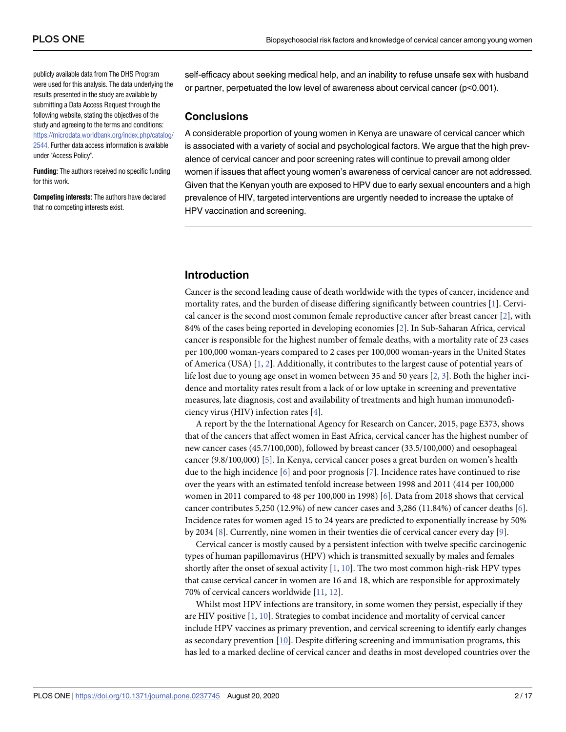<span id="page-2-0"></span>publicly available data from The DHS Program were used for this analysis. The data underlying the results presented in the study are available by submitting a Data Access Request through the following website, stating the objectives of the study and agreeing to the terms and conditions: [https://microdata.worldbank.org/index.php/catalog/](https://microdata.worldbank.org/index.php/catalog/2544) [2544](https://microdata.worldbank.org/index.php/catalog/2544). Further data access information is available under "Access Policy".

**Funding:** The authors received no specific funding for this work.

**Competing interests:** The authors have declared that no competing interests exist.

self-efficacy about seeking medical help, and an inability to refuse unsafe sex with husband or partner, perpetuated the low level of awareness about cervical cancer (p<0.001).

#### **Conclusions**

A considerable proportion of young women in Kenya are unaware of cervical cancer which is associated with a variety of social and psychological factors. We argue that the high prevalence of cervical cancer and poor screening rates will continue to prevail among older women if issues that affect young women's awareness of cervical cancer are not addressed. Given that the Kenyan youth are exposed to HPV due to early sexual encounters and a high prevalence of HIV, targeted interventions are urgently needed to increase the uptake of HPV vaccination and screening.

## **Introduction**

Cancer is the second leading cause of death worldwide with the types of cancer, incidence and mortality rates, and the burden of disease differing significantly between countries [[1\]](#page-15-0). Cervical cancer is the second most common female reproductive cancer after breast cancer [\[2\]](#page-15-0), with 84% of the cases being reported in developing economies [\[2\]](#page-15-0). In Sub-Saharan Africa, cervical cancer is responsible for the highest number of female deaths, with a mortality rate of 23 cases per 100,000 woman-years compared to 2 cases per 100,000 woman-years in the United States of America (USA) [[1,](#page-15-0) [2\]](#page-15-0). Additionally, it contributes to the largest cause of potential years of life lost due to young age onset in women between 35 and 50 years [[2](#page-15-0), [3\]](#page-15-0). Both the higher incidence and mortality rates result from a lack of or low uptake in screening and preventative measures, late diagnosis, cost and availability of treatments and high human immunodeficiency virus (HIV) infection rates [\[4\]](#page-15-0).

A report by the the International Agency for Research on Cancer, 2015, page E373, shows that of the cancers that affect women in East Africa, cervical cancer has the highest number of new cancer cases (45.7/100,000), followed by breast cancer (33.5/100,000) and oesophageal cancer (9.8/100,000) [[5](#page-15-0)]. In Kenya, cervical cancer poses a great burden on women's health due to the high incidence [\[6\]](#page-15-0) and poor prognosis [[7](#page-15-0)]. Incidence rates have continued to rise over the years with an estimated tenfold increase between 1998 and 2011 (414 per 100,000 women in 2011 compared to 48 per 100,000 in 1998) [[6](#page-15-0)]. Data from 2018 shows that cervical cancer contributes 5,250 (12.9%) of new cancer cases and 3,286 (11.84%) of cancer deaths [[6](#page-15-0)]. Incidence rates for women aged 15 to 24 years are predicted to exponentially increase by 50% by 2034 [\[8](#page-16-0)]. Currently, nine women in their twenties die of cervical cancer every day [\[9\]](#page-16-0).

Cervical cancer is mostly caused by a persistent infection with twelve specific carcinogenic types of human papillomavirus (HPV) which is transmitted sexually by males and females shortly after the onset of sexual activity  $[1, 10]$  $[1, 10]$  $[1, 10]$ . The two most common high-risk HPV types that cause cervical cancer in women are 16 and 18, which are responsible for approximately 70% of cervical cancers worldwide [\[11,](#page-16-0) [12\]](#page-16-0).

Whilst most HPV infections are transitory, in some women they persist, especially if they are HIV positive [\[1](#page-15-0), [10\]](#page-16-0). Strategies to combat incidence and mortality of cervical cancer include HPV vaccines as primary prevention, and cervical screening to identify early changes as secondary prevention [\[10\]](#page-16-0). Despite differing screening and immunisation programs, this has led to a marked decline of cervical cancer and deaths in most developed countries over the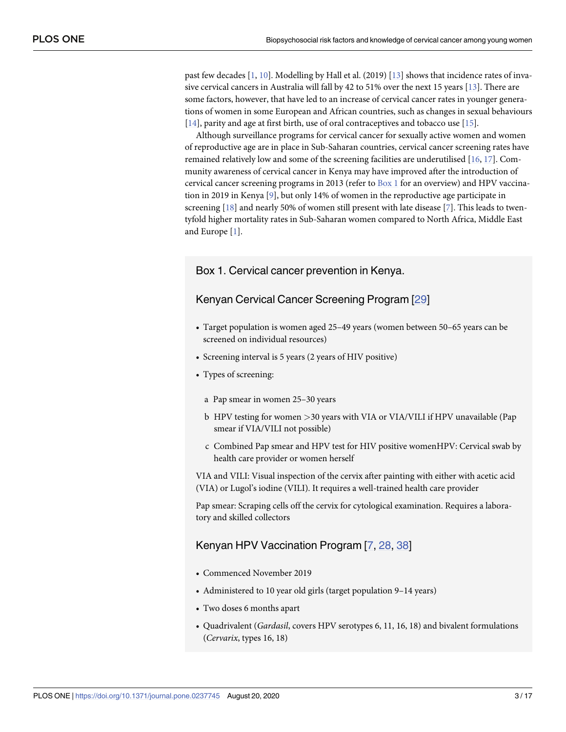<span id="page-3-0"></span>past few decades [\[1,](#page-15-0) [10\]](#page-16-0). Modelling by Hall et al. (2019) [\[13\]](#page-16-0) shows that incidence rates of invasive cervical cancers in Australia will fall by 42 to 51% over the next 15 years [[13](#page-16-0)]. There are some factors, however, that have led to an increase of cervical cancer rates in younger generations of women in some European and African countries, such as changes in sexual behaviours [\[14\]](#page-16-0), parity and age at first birth, use of oral contraceptives and tobacco use [\[15\]](#page-16-0).

Although surveillance programs for cervical cancer for sexually active women and women of reproductive age are in place in Sub-Saharan countries, cervical cancer screening rates have remained relatively low and some of the screening facilities are underutilised [\[16](#page-16-0), [17\]](#page-16-0). Community awareness of cervical cancer in Kenya may have improved after the introduction of cervical cancer screening programs in 2013 (refer to Box 1 for an overview) and HPV vaccination in 2019 in Kenya [\[9](#page-16-0)], but only 14% of women in the reproductive age participate in screening [[18](#page-16-0)] and nearly 50% of women still present with late disease [[7](#page-15-0)]. This leads to twentyfold higher mortality rates in Sub-Saharan women compared to North Africa, Middle East and Europe [\[1\]](#page-15-0).

### Box 1. Cervical cancer prevention in Kenya.

#### Kenyan Cervical Cancer Screening Program [[29\]](#page-17-0)

- Target population is women aged 25–49 years (women between 50–65 years can be screened on individual resources)
- Screening interval is 5 years (2 years of HIV positive)
- Types of screening:
	- a Pap smear in women 25–30 years
	- b HPV testing for women *>*30 years with VIA or VIA/VILI if HPV unavailable (Pap smear if VIA/VILI not possible)
	- c Combined Pap smear and HPV test for HIV positive womenHPV: Cervical swab by health care provider or women herself

VIA and VILI: Visual inspection of the cervix after painting with either with acetic acid (VIA) or Lugol's iodine (VILI). It requires a well-trained health care provider

Pap smear: Scraping cells off the cervix for cytological examination. Requires a laboratory and skilled collectors

# Kenyan HPV Vaccination Program [\[7,](#page-15-0) [28](#page-16-0), [38](#page-17-0)]

- Commenced November 2019
- Administered to 10 year old girls (target population 9–14 years)
- Two doses 6 months apart
- Quadrivalent (*Gardasil*, covers HPV serotypes 6, 11, 16, 18) and bivalent formulations (*Cervarix*, types 16, 18)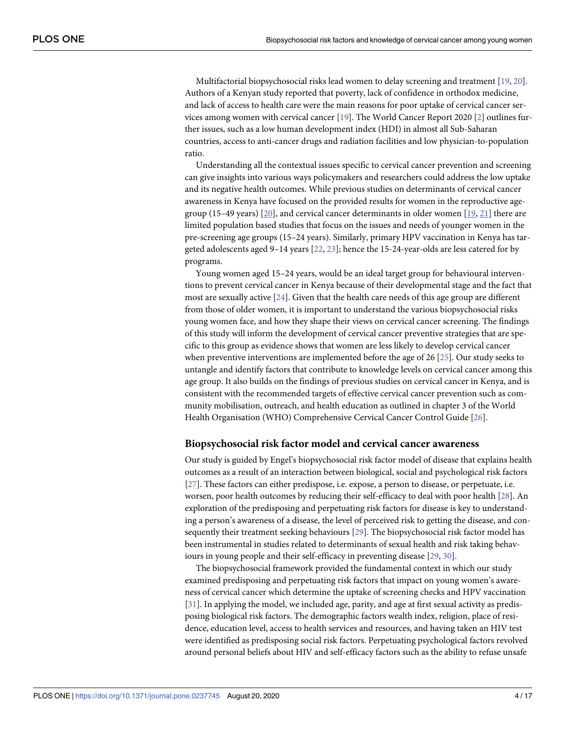<span id="page-4-0"></span>Multifactorial biopsychosocial risks lead women to delay screening and treatment [[19](#page-16-0), [20](#page-16-0)]. Authors of a Kenyan study reported that poverty, lack of confidence in orthodox medicine, and lack of access to health care were the main reasons for poor uptake of cervical cancer services among women with cervical cancer [[19](#page-16-0)]. The World Cancer Report 2020 [\[2](#page-15-0)] outlines further issues, such as a low human development index (HDI) in almost all Sub-Saharan countries, access to anti-cancer drugs and radiation facilities and low physician-to-population ratio.

Understanding all the contextual issues specific to cervical cancer prevention and screening can give insights into various ways policymakers and researchers could address the low uptake and its negative health outcomes. While previous studies on determinants of cervical cancer awareness in Kenya have focused on the provided results for women in the reproductive agegroup (15–49 years)  $[20]$ , and cervical cancer determinants in older women  $[19, 21]$  $[19, 21]$  $[19, 21]$  there are limited population based studies that focus on the issues and needs of younger women in the pre-screening age groups (15–24 years). Similarly, primary HPV vaccination in Kenya has targeted adolescents aged 9–14 years [[22](#page-16-0), [23](#page-16-0)]; hence the 15-24-year-olds are less catered for by programs.

Young women aged 15–24 years, would be an ideal target group for behavioural interventions to prevent cervical cancer in Kenya because of their developmental stage and the fact that most are sexually active [[24](#page-16-0)]. Given that the health care needs of this age group are different from those of older women, it is important to understand the various biopsychosocial risks young women face, and how they shape their views on cervical cancer screening. The findings of this study will inform the development of cervical cancer preventive strategies that are specific to this group as evidence shows that women are less likely to develop cervical cancer when preventive interventions are implemented before the age of 26 [\[25\]](#page-16-0). Our study seeks to untangle and identify factors that contribute to knowledge levels on cervical cancer among this age group. It also builds on the findings of previous studies on cervical cancer in Kenya, and is consistent with the recommended targets of effective cervical cancer prevention such as community mobilisation, outreach, and health education as outlined in chapter 3 of the World Health Organisation (WHO) Comprehensive Cervical Cancer Control Guide [[26](#page-16-0)].

#### **Biopsychosocial risk factor model and cervical cancer awareness**

Our study is guided by Engel's biopsychosocial risk factor model of disease that explains health outcomes as a result of an interaction between biological, social and psychological risk factors [\[27\]](#page-16-0). These factors can either predispose, i.e. expose, a person to disease, or perpetuate, i.e. worsen, poor health outcomes by reducing their self-efficacy to deal with poor health [\[28\]](#page-16-0). An exploration of the predisposing and perpetuating risk factors for disease is key to understanding a person's awareness of a disease, the level of perceived risk to getting the disease, and consequently their treatment seeking behaviours [\[29\]](#page-17-0). The biopsychosocial risk factor model has been instrumental in studies related to determinants of sexual health and risk taking behaviours in young people and their self-efficacy in preventing disease [\[29,](#page-17-0) [30\]](#page-17-0).

The biopsychosocial framework provided the fundamental context in which our study examined predisposing and perpetuating risk factors that impact on young women's awareness of cervical cancer which determine the uptake of screening checks and HPV vaccination [\[31\]](#page-17-0). In applying the model, we included age, parity, and age at first sexual activity as predisposing biological risk factors. The demographic factors wealth index, religion, place of residence, education level, access to health services and resources, and having taken an HIV test were identified as predisposing social risk factors. Perpetuating psychological factors revolved around personal beliefs about HIV and self-efficacy factors such as the ability to refuse unsafe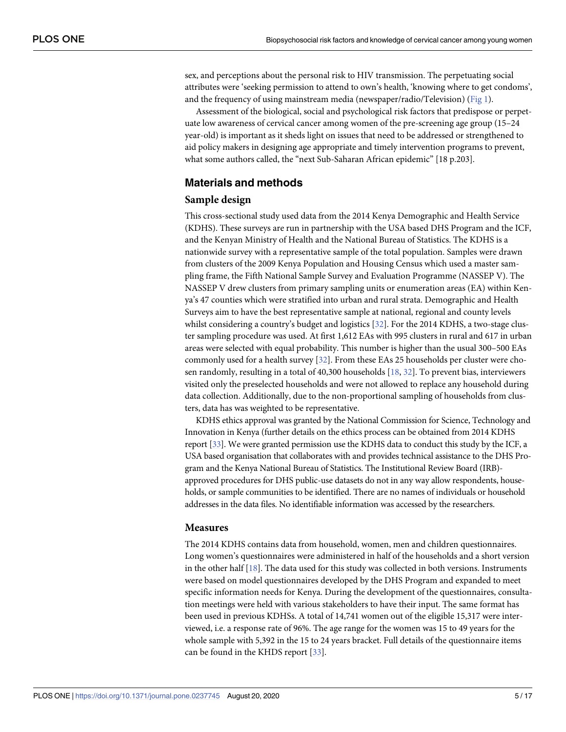<span id="page-5-0"></span>sex, and perceptions about the personal risk to HIV transmission. The perpetuating social attributes were 'seeking permission to attend to own's health, 'knowing where to get condoms', and the frequency of using mainstream media (newspaper/radio/Television) ([Fig](#page-6-0) 1).

Assessment of the biological, social and psychological risk factors that predispose or perpetuate low awareness of cervical cancer among women of the pre-screening age group (15–24 year-old) is important as it sheds light on issues that need to be addressed or strengthened to aid policy makers in designing age appropriate and timely intervention programs to prevent, what some authors called, the "next Sub-Saharan African epidemic" [18 p.203].

## **Materials and methods**

#### **Sample design**

This cross-sectional study used data from the 2014 Kenya Demographic and Health Service (KDHS). These surveys are run in partnership with the USA based DHS Program and the ICF, and the Kenyan Ministry of Health and the National Bureau of Statistics. The KDHS is a nationwide survey with a representative sample of the total population. Samples were drawn from clusters of the 2009 Kenya Population and Housing Census which used a master sampling frame, the Fifth National Sample Survey and Evaluation Programme (NASSEP V). The NASSEP V drew clusters from primary sampling units or enumeration areas (EA) within Kenya's 47 counties which were stratified into urban and rural strata. Demographic and Health Surveys aim to have the best representative sample at national, regional and county levels whilst considering a country's budget and logistics [[32](#page-17-0)]. For the 2014 KDHS, a two-stage cluster sampling procedure was used. At first 1,612 EAs with 995 clusters in rural and 617 in urban areas were selected with equal probability. This number is higher than the usual 300–500 EAs commonly used for a health survey [[32](#page-17-0)]. From these EAs 25 households per cluster were chosen randomly, resulting in a total of 40,300 households [\[18,](#page-16-0) [32\]](#page-17-0). To prevent bias, interviewers visited only the preselected households and were not allowed to replace any household during data collection. Additionally, due to the non-proportional sampling of households from clusters, data has was weighted to be representative.

KDHS ethics approval was granted by the National Commission for Science, Technology and Innovation in Kenya (further details on the ethics process can be obtained from 2014 KDHS report [[33\]](#page-17-0). We were granted permission use the KDHS data to conduct this study by the ICF, a USA based organisation that collaborates with and provides technical assistance to the DHS Program and the Kenya National Bureau of Statistics. The Institutional Review Board (IRB) approved procedures for DHS public-use datasets do not in any way allow respondents, households, or sample communities to be identified. There are no names of individuals or household addresses in the data files. No identifiable information was accessed by the researchers.

#### **Measures**

The 2014 KDHS contains data from household, women, men and children questionnaires. Long women's questionnaires were administered in half of the households and a short version in the other half [\[18\]](#page-16-0). The data used for this study was collected in both versions. Instruments were based on model questionnaires developed by the DHS Program and expanded to meet specific information needs for Kenya. During the development of the questionnaires, consultation meetings were held with various stakeholders to have their input. The same format has been used in previous KDHSs. A total of 14,741 women out of the eligible 15,317 were interviewed, i.e. a response rate of 96%. The age range for the women was 15 to 49 years for the whole sample with 5,392 in the 15 to 24 years bracket. Full details of the questionnaire items can be found in the KHDS report [\[33\]](#page-17-0).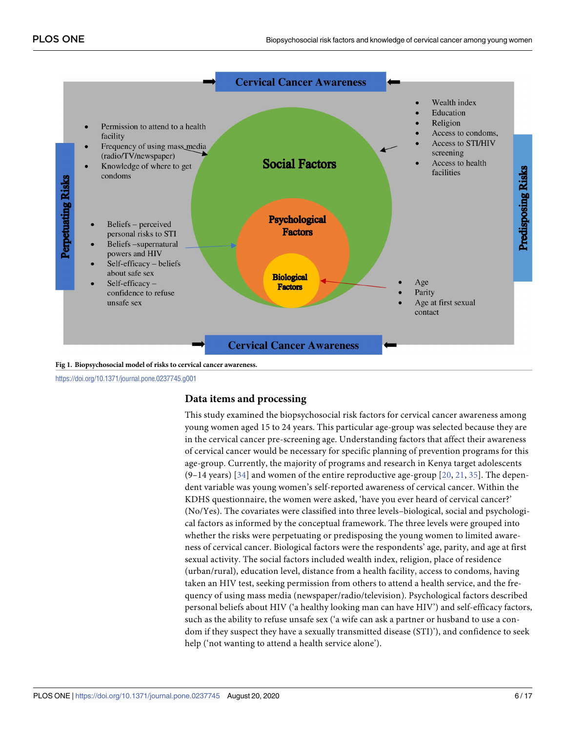<span id="page-6-0"></span>

**[Fig](#page-5-0) 1. Biopsychosocial model of risks to cervical cancer awareness.**

<https://doi.org/10.1371/journal.pone.0237745.g001>

# **Data items and processing**

This study examined the biopsychosocial risk factors for cervical cancer awareness among young women aged 15 to 24 years. This particular age-group was selected because they are in the cervical cancer pre-screening age. Understanding factors that affect their awareness of cervical cancer would be necessary for specific planning of prevention programs for this age-group. Currently, the majority of programs and research in Kenya target adolescents  $(9-14 \text{ years})$  [[34](#page-17-0)] and women of the entire reproductive age-group [\[20](#page-16-0), [21,](#page-16-0) [35](#page-17-0)]. The dependent variable was young women's self-reported awareness of cervical cancer. Within the KDHS questionnaire, the women were asked, 'have you ever heard of cervical cancer?' (No/Yes). The covariates were classified into three levels–biological, social and psychological factors as informed by the conceptual framework. The three levels were grouped into whether the risks were perpetuating or predisposing the young women to limited awareness of cervical cancer. Biological factors were the respondents' age, parity, and age at first sexual activity. The social factors included wealth index, religion, place of residence (urban/rural), education level, distance from a health facility, access to condoms, having taken an HIV test, seeking permission from others to attend a health service, and the frequency of using mass media (newspaper/radio/television). Psychological factors described personal beliefs about HIV ('a healthy looking man can have HIV') and self-efficacy factors, such as the ability to refuse unsafe sex ('a wife can ask a partner or husband to use a condom if they suspect they have a sexually transmitted disease (STI)'), and confidence to seek help ('not wanting to attend a health service alone').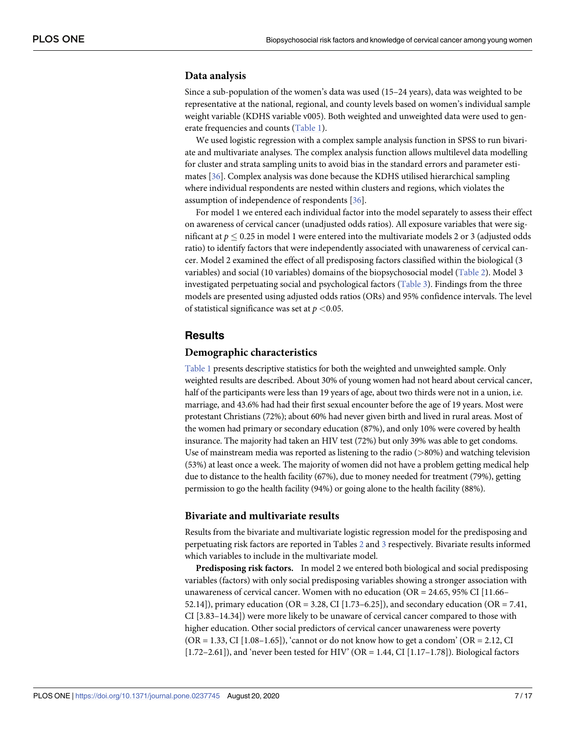#### <span id="page-7-0"></span>**Data analysis**

Since a sub-population of the women's data was used (15–24 years), data was weighted to be representative at the national, regional, and county levels based on women's individual sample weight variable (KDHS variable v005). Both weighted and unweighted data were used to generate frequencies and counts [\(Table](#page-8-0) 1).

We used logistic regression with a complex sample analysis function in SPSS to run bivariate and multivariate analyses. The complex analysis function allows multilevel data modelling for cluster and strata sampling units to avoid bias in the standard errors and parameter estimates [\[36](#page-17-0)]. Complex analysis was done because the KDHS utilised hierarchical sampling where individual respondents are nested within clusters and regions, which violates the assumption of independence of respondents [[36](#page-17-0)].

For model 1 we entered each individual factor into the model separately to assess their effect on awareness of cervical cancer (unadjusted odds ratios). All exposure variables that were significant at  $p \le 0.25$  in model 1 were entered into the multivariate models 2 or 3 (adjusted odds ratio) to identify factors that were independently associated with unawareness of cervical cancer. Model 2 examined the effect of all predisposing factors classified within the biological (3 variables) and social (10 variables) domains of the biopsychosocial model [\(Table](#page-10-0) 2). Model 3 investigated perpetuating social and psychological factors [\(Table](#page-11-0) 3). Findings from the three models are presented using adjusted odds ratios (ORs) and 95% confidence intervals. The level of statistical significance was set at *p <*0.05.

# **Results**

#### **Demographic characteristics**

[Table](#page-8-0) 1 presents descriptive statistics for both the weighted and unweighted sample. Only weighted results are described. About 30% of young women had not heard about cervical cancer, half of the participants were less than 19 years of age, about two thirds were not in a union, i.e. marriage, and 43.6% had had their first sexual encounter before the age of 19 years. Most were protestant Christians (72%); about 60% had never given birth and lived in rural areas. Most of the women had primary or secondary education (87%), and only 10% were covered by health insurance. The majority had taken an HIV test (72%) but only 39% was able to get condoms. Use of mainstream media was reported as listening to the radio (*>*80%) and watching television (53%) at least once a week. The majority of women did not have a problem getting medical help due to distance to the health facility (67%), due to money needed for treatment (79%), getting permission to go the health facility (94%) or going alone to the health facility (88%).

#### **Bivariate and multivariate results**

Results from the bivariate and multivariate logistic regression model for the predisposing and perpetuating risk factors are reported in Tables [2](#page-10-0) and [3](#page-11-0) respectively. Bivariate results informed which variables to include in the multivariate model.

**Predisposing risk factors.** In model 2 we entered both biological and social predisposing variables (factors) with only social predisposing variables showing a stronger association with unawareness of cervical cancer. Women with no education (OR = 24.65, 95% CI [11.66– 52.14]), primary education (OR = 3.28, CI [1.73–6.25]), and secondary education (OR = 7.41, CI [3.83–14.34]) were more likely to be unaware of cervical cancer compared to those with higher education. Other social predictors of cervical cancer unawareness were poverty  $(OR = 1.33, CI [1.08–1.65])$ , 'cannot or do not know how to get a condom'  $(OR = 2.12, CI$  $[1.72-2.61]$ , and 'never been tested for HIV' (OR = 1.44, CI  $[1.17-1.78]$ ). Biological factors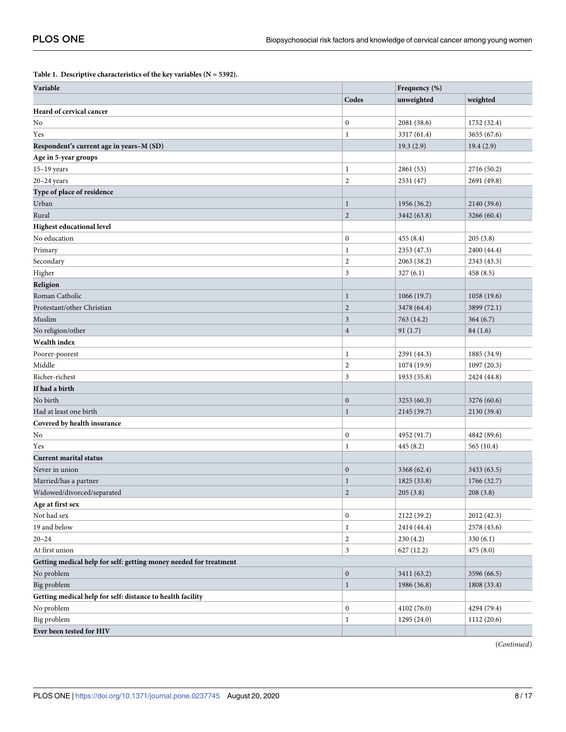<span id="page-8-0"></span>**[Table](#page-7-0) 1. Descriptive characteristics of the key variables (N = 5392).**

| Variable                                                          |                  | Frequency (%) |             |
|-------------------------------------------------------------------|------------------|---------------|-------------|
|                                                                   | Codes            | unweighted    | weighted    |
| Heard of cervical cancer                                          |                  |               |             |
| No                                                                | $\boldsymbol{0}$ | 2081 (38.6)   | 1752 (32.4) |
| Yes                                                               | $\mathbf{1}$     | 3317 (61.4)   | 3655 (67.6) |
| Respondent's current age in years-M (SD)                          |                  | 19.3(2.9)     | 19.4(2.9)   |
| Age in 5-year groups                                              |                  |               |             |
| $15-19$ years                                                     | 1                | 2861 (53)     | 2716 (50.2) |
| $20 - 24$ years                                                   | $\mathbf{2}$     | 2531 (47)     | 2691 (49.8) |
| Type of place of residence                                        |                  |               |             |
| Urban                                                             | 1                | 1956 (36.2)   | 2140 (39.6) |
| Rural                                                             | $\overline{c}$   | 3442 (63.8)   | 3266 (60.4) |
| <b>Highest educational level</b>                                  |                  |               |             |
| No education                                                      | $\boldsymbol{0}$ | 455(8.4)      | 205(3.8)    |
| Primary                                                           | $\mathbf 1$      | 2353 (47.3)   | 2400 (44.4) |
| Secondary                                                         | $\overline{c}$   | 2063 (38.2)   | 2343 (43.3) |
| Higher                                                            | 3                | 327(6.1)      | 458(8.5)    |
| Religion                                                          |                  |               |             |
| Roman Catholic                                                    | 1                | 1066(19.7)    | 1058(19.6)  |
| Protestant/other Christian                                        | $\overline{2}$   | 3478 (64.4)   | 3899 (72.1) |
| Muslim                                                            | 3                | 763 (14.2)    | 364(6.7)    |
| No religion/other                                                 | $\overline{4}$   | 91(1.7)       | 84(1.6)     |
| Wealth index                                                      |                  |               |             |
| Poorer-poorest                                                    | $\mathbf{1}$     | 2391 (44.3)   | 1885 (34.9) |
| Middle                                                            | $\overline{c}$   | 1074 (19.9)   | 1097(20.3)  |
| Richer-richest                                                    | 3                | 1933 (35.8)   | 2424 (44.8) |
| If had a birth                                                    |                  |               |             |
| No birth                                                          | $\boldsymbol{0}$ | 3253(60.3)    | 3276 (60.6) |
| Had at least one birth                                            | $\mathbf{1}$     | 2145 (39.7)   | 2130 (39.4) |
| Covered by health insurance                                       |                  |               |             |
| No                                                                | $\boldsymbol{0}$ | 4952 (91.7)   | 4842 (89.6) |
| Yes                                                               | $\mathbf{1}$     | 445(8.2)      | 565 (10.4)  |
| <b>Current marital status</b>                                     |                  |               |             |
| Never in union                                                    | $\boldsymbol{0}$ | 3368 (62.4)   | 3433 (63.5) |
| Married/has a partner                                             | 1                | 1825 (33.8)   | 1766 (32.7) |
| Widowed/divorced/separated                                        | $\overline{c}$   | 205(3.8)      | 208(3.8)    |
| Age at first sex                                                  |                  |               |             |
| Not had sex                                                       | 0                | 2122 (39.2)   | 2012 (42.3) |
| 19 and below                                                      | $\mathbf{1}$     | 2414 (44.4)   | 2578 (43.6) |
| $20 - 24$                                                         | $\overline{c}$   | 230(4.2)      | 330(6.1)    |
| At first union                                                    | 3                | 627 (12.2)    | 475 (8.0)   |
| Getting medical help for self: getting money needed for treatment |                  |               |             |
| No problem                                                        | $\mathbf{0}$     | 3411 (63.2)   | 3596 (66.5) |
| Big problem                                                       | $\mathbf{1}$     | 1986 (36.8)   | 1808 (33.4) |
| Getting medical help for self: distance to health facility        |                  |               |             |
| No problem                                                        | $\boldsymbol{0}$ | 4102 (76.0)   | 4294 (79.4) |
| Big problem                                                       | 1                | 1295 (24.0)   | 1112 (20.6) |
| Ever been tested for HIV                                          |                  |               |             |

(*Continued*)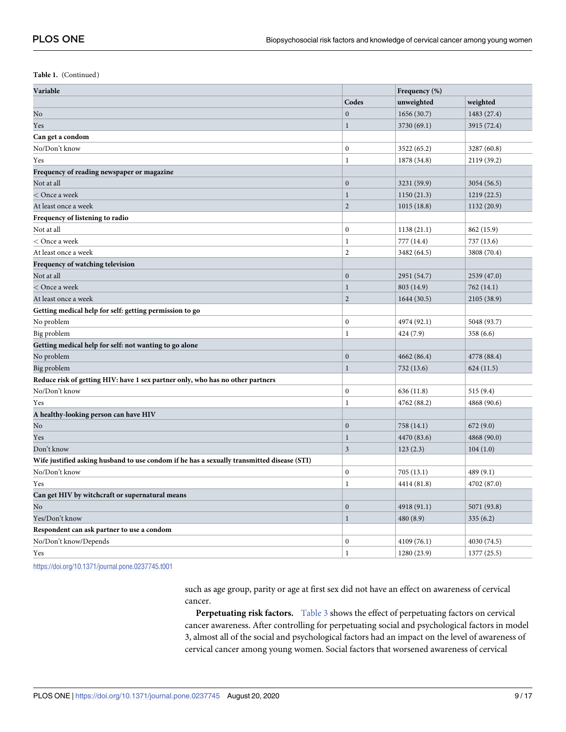**Table 1.** (Continued)

| Variable                                                                                   |                  | Frequency (%) |             |
|--------------------------------------------------------------------------------------------|------------------|---------------|-------------|
|                                                                                            | Codes            | unweighted    | weighted    |
| No                                                                                         | $\mathbf{0}$     | 1656 (30.7)   | 1483 (27.4) |
| Yes                                                                                        | $\mathbf{1}$     | 3730 (69.1)   | 3915 (72.4) |
| Can get a condom                                                                           |                  |               |             |
| No/Don't know                                                                              | $\boldsymbol{0}$ | 3522 (65.2)   | 3287 (60.8) |
| Yes                                                                                        | 1                | 1878 (34.8)   | 2119 (39.2) |
| Frequency of reading newspaper or magazine                                                 |                  |               |             |
| Not at all                                                                                 | $\mathbf{0}$     | 3231 (59.9)   | 3054 (56.5) |
| $<$ Once a week                                                                            | 1                | 1150(21.3)    | 1219 (22.5) |
| At least once a week                                                                       | $\overline{2}$   | 1015(18.8)    | 1132 (20.9) |
| Frequency of listening to radio                                                            |                  |               |             |
| Not at all                                                                                 | $\boldsymbol{0}$ | 1138(21.1)    | 862 (15.9)  |
| < Once a week                                                                              | $\mathbf{1}$     | 777 (14.4)    | 737 (13.6)  |
| At least once a week                                                                       | $\sqrt{2}$       | 3482 (64.5)   | 3808 (70.4) |
| Frequency of watching television                                                           |                  |               |             |
| Not at all                                                                                 | $\boldsymbol{0}$ | 2951 (54.7)   | 2539 (47.0) |
| $<$ Once a week                                                                            | 1                | 803 (14.9)    | 762 (14.1)  |
| At least once a week                                                                       | $\overline{2}$   | 1644(30.5)    | 2105 (38.9) |
| Getting medical help for self: getting permission to go                                    |                  |               |             |
| No problem                                                                                 | $\boldsymbol{0}$ | 4974 (92.1)   | 5048 (93.7) |
| Big problem                                                                                | 1                | 424 (7.9)     | 358 (6.6)   |
| Getting medical help for self: not wanting to go alone                                     |                  |               |             |
| No problem                                                                                 | $\boldsymbol{0}$ | 4662 (86.4)   | 4778 (88.4) |
| Big problem                                                                                | $\mathbf{1}$     | 732 (13.6)    | 624(11.5)   |
| Reduce risk of getting HIV: have 1 sex partner only, who has no other partners             |                  |               |             |
| No/Don't know                                                                              | $\boldsymbol{0}$ | 636 (11.8)    | 515 (9.4)   |
| Yes                                                                                        | 1                | 4762 (88.2)   | 4868 (90.6) |
| A healthy-looking person can have HIV                                                      |                  |               |             |
| No                                                                                         | $\mathbf{0}$     | 758 (14.1)    | 672 (9.0)   |
| Yes                                                                                        | 1                | 4470 (83.6)   | 4868 (90.0) |
| Don't know                                                                                 | 3                | 123(2.3)      | 104(1.0)    |
| Wife justified asking husband to use condom if he has a sexually transmitted disease (STI) |                  |               |             |
| No/Don't know                                                                              | $\boldsymbol{0}$ | 705 (13.1)    | 489 (9.1)   |
| Yes                                                                                        | 1                | 4414 (81.8)   | 4702 (87.0) |
| Can get HIV by witchcraft or supernatural means                                            |                  |               |             |
| No                                                                                         | $\mathbf{0}$     | 4918 (91.1)   | 5071 (93.8) |
| Yes/Don't know                                                                             | $\mathbf{1}$     | 480 (8.9)     | 335(6.2)    |
| Respondent can ask partner to use a condom                                                 |                  |               |             |
| No/Don't know/Depends                                                                      | $\boldsymbol{0}$ | 4109 (76.1)   | 4030 (74.5) |
| Yes                                                                                        | $\mathbf{1}$     | 1280 (23.9)   | 1377(25.5)  |

<https://doi.org/10.1371/journal.pone.0237745.t001>

such as age group, parity or age at first sex did not have an effect on awareness of cervical cancer.

**Perpetuating risk factors.** [Table](#page-11-0) 3 shows the effect of perpetuating factors on cervical cancer awareness. After controlling for perpetuating social and psychological factors in model 3, almost all of the social and psychological factors had an impact on the level of awareness of cervical cancer among young women. Social factors that worsened awareness of cervical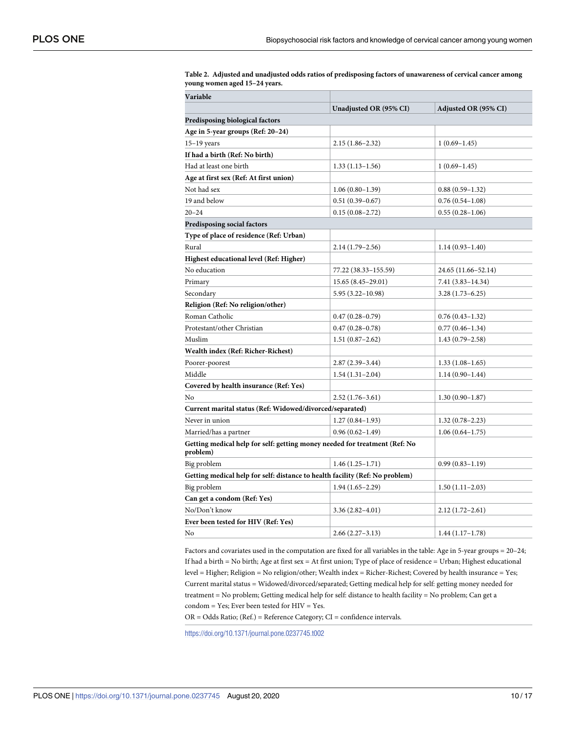| Variable                                                                               |                        |                      |  |  |
|----------------------------------------------------------------------------------------|------------------------|----------------------|--|--|
|                                                                                        | Unadjusted OR (95% CI) | Adjusted OR (95% CI) |  |  |
| Predisposing biological factors                                                        |                        |                      |  |  |
| Age in 5-year groups (Ref: 20-24)                                                      |                        |                      |  |  |
| $15-19$ years                                                                          | $2.15(1.86-2.32)$      | $1(0.69-1.45)$       |  |  |
| If had a birth (Ref: No birth)                                                         |                        |                      |  |  |
| Had at least one birth                                                                 | $1.33(1.13 - 1.56)$    | $1(0.69-1.45)$       |  |  |
| Age at first sex (Ref: At first union)                                                 |                        |                      |  |  |
| Not had sex                                                                            | $1.06(0.80-1.39)$      | $0.88(0.59-1.32)$    |  |  |
| 19 and below                                                                           | $0.51(0.39 - 0.67)$    | $0.76(0.54-1.08)$    |  |  |
| $20 - 24$                                                                              | $0.15(0.08-2.72)$      | $0.55(0.28-1.06)$    |  |  |
| Predisposing social factors                                                            |                        |                      |  |  |
| Type of place of residence (Ref: Urban)                                                |                        |                      |  |  |
| Rural                                                                                  | $2.14(1.79-2.56)$      | $1.14(0.93 - 1.40)$  |  |  |
| Highest educational level (Ref: Higher)                                                |                        |                      |  |  |
| No education                                                                           | 77.22 (38.33–155.59)   | 24.65 (11.66–52.14)  |  |  |
| Primary                                                                                | 15.65 (8.45-29.01)     | 7.41 (3.83–14.34)    |  |  |
| Secondary                                                                              | $5.95(3.22 - 10.98)$   | $3.28(1.73 - 6.25)$  |  |  |
| Religion (Ref: No religion/other)                                                      |                        |                      |  |  |
| Roman Catholic                                                                         | $0.47(0.28 - 0.79)$    | $0.76(0.43 - 1.32)$  |  |  |
| Protestant/other Christian                                                             | $0.47(0.28 - 0.78)$    | $0.77(0.46 - 1.34)$  |  |  |
| Muslim                                                                                 | $1.51(0.87-2.62)$      | $1.43(0.79-2.58)$    |  |  |
| Wealth index (Ref: Richer-Richest)                                                     |                        |                      |  |  |
| Poorer-poorest                                                                         | $2.87(2.39-3.44)$      | $1.33(1.08-1.65)$    |  |  |
| Middle                                                                                 | $1.54(1.31-2.04)$      | $1.14(0.90-1.44)$    |  |  |
| Covered by health insurance (Ref: Yes)                                                 |                        |                      |  |  |
| No                                                                                     | $2.52(1.76-3.61)$      | $1.30(0.90-1.87)$    |  |  |
| Current marital status (Ref: Widowed/divorced/separated)                               |                        |                      |  |  |
| Never in union                                                                         | $1.27(0.84 - 1.93)$    | $1.32(0.78 - 2.23)$  |  |  |
| Married/has a partner                                                                  | $0.96(0.62 - 1.49)$    | $1.06(0.64-1.75)$    |  |  |
| Getting medical help for self: getting money needed for treatment (Ref: No<br>problem) |                        |                      |  |  |
| Big problem                                                                            | $1.46(1.25-1.71)$      | $0.99(0.83 - 1.19)$  |  |  |
| Getting medical help for self: distance to health facility (Ref: No problem)           |                        |                      |  |  |
| Big problem                                                                            | $1.94(1.65-2.29)$      | $1.50(1.11-2.03)$    |  |  |
| Can get a condom (Ref: Yes)                                                            |                        |                      |  |  |
| No/Don't know                                                                          | $3.36(2.82 - 4.01)$    | $2.12(1.72 - 2.61)$  |  |  |
| Ever been tested for HIV (Ref: Yes)                                                    |                        |                      |  |  |
| No                                                                                     | $2.66(2.27-3.13)$      | $1.44(1.17-1.78)$    |  |  |

<span id="page-10-0"></span>**[Table](#page-7-0) 2. Adjusted and unadjusted odds ratios of predisposing factors of unawareness of cervical cancer among young women aged 15–24 years.**

Factors and covariates used in the computation are fixed for all variables in the table: Age in 5-year groups = 20–24; If had a birth = No birth; Age at first sex = At first union; Type of place of residence = Urban; Highest educational level = Higher; Religion = No religion/other; Wealth index = Richer-Richest; Covered by health insurance = Yes; Current marital status = Widowed/divorced/separated; Getting medical help for self: getting money needed for treatment = No problem; Getting medical help for self: distance to health facility = No problem; Can get a condom = Yes; Ever been tested for HIV = Yes.

OR = Odds Ratio; (Ref.) = Reference Category; CI = confidence intervals.

<https://doi.org/10.1371/journal.pone.0237745.t002>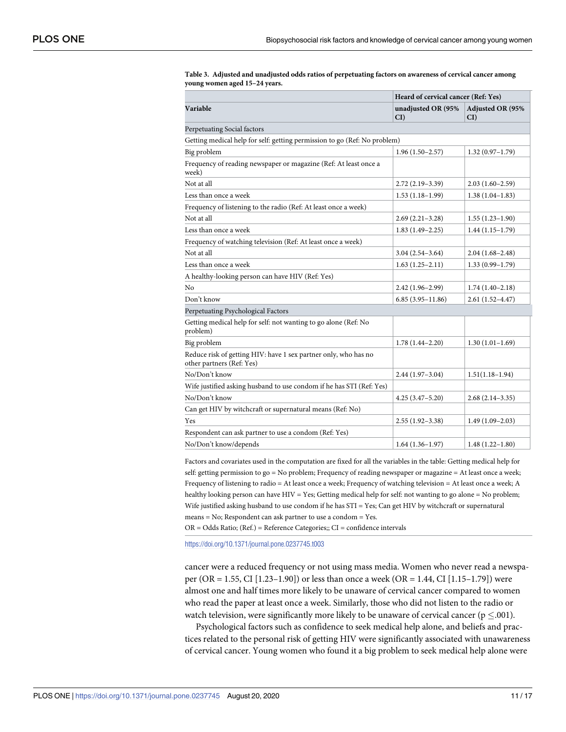|                                                                                              | Heard of cervical cancer (Ref: Yes) |                                   |  |  |  |  |
|----------------------------------------------------------------------------------------------|-------------------------------------|-----------------------------------|--|--|--|--|
| Variable                                                                                     | unadjusted OR (95%<br>CI            | <b>Adjusted OR (95%</b><br>$CI$ ) |  |  |  |  |
| Perpetuating Social factors                                                                  |                                     |                                   |  |  |  |  |
| Getting medical help for self: getting permission to go (Ref: No problem)                    |                                     |                                   |  |  |  |  |
| Big problem                                                                                  | $1.96(1.50-2.57)$                   | $1.32(0.97-1.79)$                 |  |  |  |  |
| Frequency of reading newspaper or magazine (Ref: At least once a<br>week)                    |                                     |                                   |  |  |  |  |
| Not at all                                                                                   | $2.72(2.19-3.39)$                   | $2.03(1.60-2.59)$                 |  |  |  |  |
| Less than once a week                                                                        | $1.53(1.18-1.99)$                   | $1.38(1.04-1.83)$                 |  |  |  |  |
| Frequency of listening to the radio (Ref: At least once a week)                              |                                     |                                   |  |  |  |  |
| Not at all                                                                                   | $2.69(2.21-3.28)$                   | $1.55(1.23 - 1.90)$               |  |  |  |  |
| Less than once a week                                                                        | $1.83(1.49-2.25)$                   | $1.44(1.15-1.79)$                 |  |  |  |  |
| Frequency of watching television (Ref: At least once a week)                                 |                                     |                                   |  |  |  |  |
| Not at all                                                                                   | $3.04(2.54-3.64)$                   | $2.04(1.68 - 2.48)$               |  |  |  |  |
| Less than once a week                                                                        | $1.63(1.25-2.11)$                   | $1.33(0.99 - 1.79)$               |  |  |  |  |
| A healthy-looking person can have HIV (Ref: Yes)                                             |                                     |                                   |  |  |  |  |
| No                                                                                           | $2.42(1.96-2.99)$                   | $1.74(1.40-2.18)$                 |  |  |  |  |
| Don't know                                                                                   | $6.85(3.95-11.86)$                  | $2.61(1.52 - 4.47)$               |  |  |  |  |
| Perpetuating Psychological Factors                                                           |                                     |                                   |  |  |  |  |
| Getting medical help for self: not wanting to go alone (Ref: No<br>problem)                  |                                     |                                   |  |  |  |  |
| Big problem                                                                                  | $1.78(1.44 - 2.20)$                 | $1.30(1.01-1.69)$                 |  |  |  |  |
| Reduce risk of getting HIV: have 1 sex partner only, who has no<br>other partners (Ref: Yes) |                                     |                                   |  |  |  |  |
| No/Don't know                                                                                | $2.44(1.97-3.04)$                   | $1.51(1.18-1.94)$                 |  |  |  |  |
| Wife justified asking husband to use condom if he has STI (Ref: Yes)                         |                                     |                                   |  |  |  |  |
| No/Don't know                                                                                | $4.25(3.47 - 5.20)$                 | $2.68(2.14-3.35)$                 |  |  |  |  |
| Can get HIV by witchcraft or supernatural means (Ref: No)                                    |                                     |                                   |  |  |  |  |
| Yes                                                                                          | $2.55(1.92 - 3.38)$                 | $1.49(1.09-2.03)$                 |  |  |  |  |
| Respondent can ask partner to use a condom (Ref: Yes)                                        |                                     |                                   |  |  |  |  |
| No/Don't know/depends                                                                        | $1.64(1.36-1.97)$                   | $1.48(1.22 - 1.80)$               |  |  |  |  |

<span id="page-11-0"></span>**[Table](#page-7-0) 3. Adjusted and unadjusted odds ratios of perpetuating factors on awareness of cervical cancer among young women aged 15–24 years.**

Factors and covariates used in the computation are fixed for all the variables in the table: Getting medical help for self: getting permission to go = No problem; Frequency of reading newspaper or magazine = At least once a week; Frequency of listening to radio = At least once a week; Frequency of watching television = At least once a week; A healthy looking person can have HIV = Yes; Getting medical help for self: not wanting to go alone = No problem; Wife justified asking husband to use condom if he has STI = Yes; Can get HIV by witchcraft or supernatural means = No; Respondent can ask partner to use a condom = Yes.

OR = Odds Ratio; (Ref.) = Reference Categories;; CI = confidence intervals

<https://doi.org/10.1371/journal.pone.0237745.t003>

cancer were a reduced frequency or not using mass media. Women who never read a newspaper (OR = 1.55, CI [1.23–1.90]) or less than once a week (OR = 1.44, CI [1.15–1.79]) were almost one and half times more likely to be unaware of cervical cancer compared to women who read the paper at least once a week. Similarly, those who did not listen to the radio or watch television, were significantly more likely to be unaware of cervical cancer ( $p \le 0.001$ ).

Psychological factors such as confidence to seek medical help alone, and beliefs and practices related to the personal risk of getting HIV were significantly associated with unawareness of cervical cancer. Young women who found it a big problem to seek medical help alone were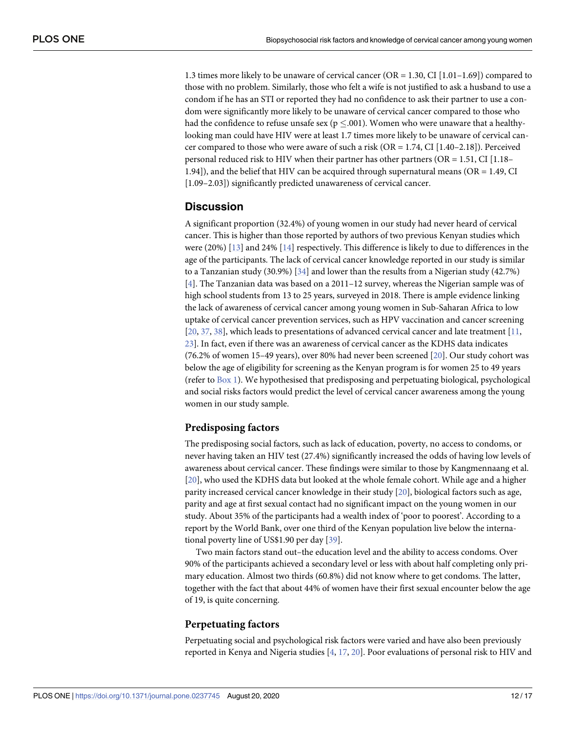<span id="page-12-0"></span>1.3 times more likely to be unaware of cervical cancer (OR = 1.30, CI [1.01–1.69]) compared to those with no problem. Similarly, those who felt a wife is not justified to ask a husband to use a condom if he has an STI or reported they had no confidence to ask their partner to use a condom were significantly more likely to be unaware of cervical cancer compared to those who had the confidence to refuse unsafe sex ( $p \le 0.001$ ). Women who were unaware that a healthylooking man could have HIV were at least 1.7 times more likely to be unaware of cervical cancer compared to those who were aware of such a risk (OR = 1.74, CI [1.40–2.18]). Perceived personal reduced risk to HIV when their partner has other partners ( $OR = 1.51$ , CI [1.18– 1.94]), and the belief that HIV can be acquired through supernatural means (OR = 1.49, CI [1.09–2.03]) significantly predicted unawareness of cervical cancer.

## **Discussion**

A significant proportion (32.4%) of young women in our study had never heard of cervical cancer. This is higher than those reported by authors of two previous Kenyan studies which were (20%) [[13](#page-16-0)] and 24% [[14](#page-16-0)] respectively. This difference is likely to due to differences in the age of the participants. The lack of cervical cancer knowledge reported in our study is similar to a Tanzanian study (30.9%) [[34](#page-17-0)] and lower than the results from a Nigerian study (42.7%) [\[4](#page-15-0)]. The Tanzanian data was based on a 2011–12 survey, whereas the Nigerian sample was of high school students from 13 to 25 years, surveyed in 2018. There is ample evidence linking the lack of awareness of cervical cancer among young women in Sub-Saharan Africa to low uptake of cervical cancer prevention services, such as HPV vaccination and cancer screening [\[20,](#page-16-0) [37,](#page-17-0) [38\]](#page-17-0), which leads to presentations of advanced cervical cancer and late treatment [[11](#page-16-0), [23\]](#page-16-0). In fact, even if there was an awareness of cervical cancer as the KDHS data indicates (76.2% of women 15–49 years), over 80% had never been screened [[20](#page-16-0)]. Our study cohort was below the age of eligibility for screening as the Kenyan program is for women 25 to 49 years (refer to  $Box 1$  $Box 1$ ). We hypothesised that predisposing and perpetuating biological, psychological and social risks factors would predict the level of cervical cancer awareness among the young women in our study sample.

#### **Predisposing factors**

The predisposing social factors, such as lack of education, poverty, no access to condoms, or never having taken an HIV test (27.4%) significantly increased the odds of having low levels of awareness about cervical cancer. These findings were similar to those by Kangmennaang et al. [\[20\]](#page-16-0), who used the KDHS data but looked at the whole female cohort. While age and a higher parity increased cervical cancer knowledge in their study [[20](#page-16-0)], biological factors such as age, parity and age at first sexual contact had no significant impact on the young women in our study. About 35% of the participants had a wealth index of 'poor to poorest'. According to a report by the World Bank, over one third of the Kenyan population live below the international poverty line of US\$1.90 per day [[39](#page-17-0)].

Two main factors stand out–the education level and the ability to access condoms. Over 90% of the participants achieved a secondary level or less with about half completing only primary education. Almost two thirds (60.8%) did not know where to get condoms. The latter, together with the fact that about 44% of women have their first sexual encounter below the age of 19, is quite concerning.

#### **Perpetuating factors**

Perpetuating social and psychological risk factors were varied and have also been previously reported in Kenya and Nigeria studies [[4,](#page-15-0) [17,](#page-16-0) [20\]](#page-16-0). Poor evaluations of personal risk to HIV and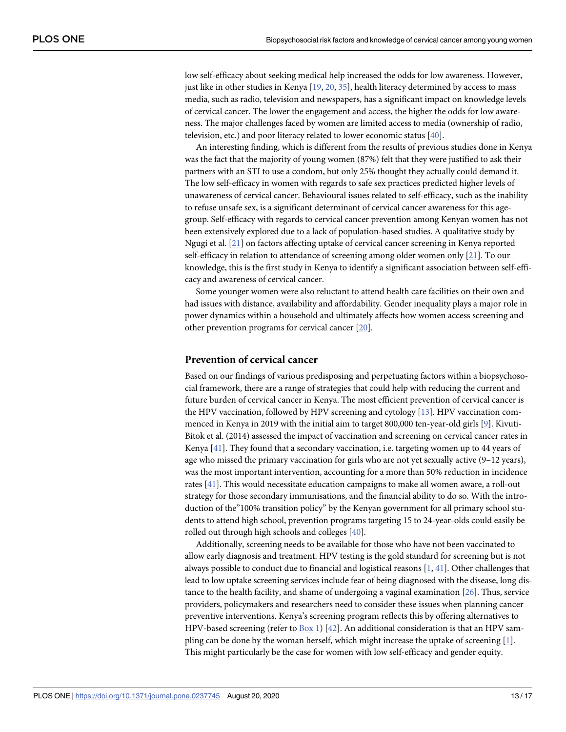<span id="page-13-0"></span>low self-efficacy about seeking medical help increased the odds for low awareness. However, just like in other studies in Kenya  $[19, 20, 35]$  $[19, 20, 35]$  $[19, 20, 35]$  $[19, 20, 35]$  $[19, 20, 35]$ , health literacy determined by access to mass media, such as radio, television and newspapers, has a significant impact on knowledge levels of cervical cancer. The lower the engagement and access, the higher the odds for low awareness. The major challenges faced by women are limited access to media (ownership of radio, television, etc.) and poor literacy related to lower economic status [[40](#page-17-0)].

An interesting finding, which is different from the results of previous studies done in Kenya was the fact that the majority of young women (87%) felt that they were justified to ask their partners with an STI to use a condom, but only 25% thought they actually could demand it. The low self-efficacy in women with regards to safe sex practices predicted higher levels of unawareness of cervical cancer. Behavioural issues related to self-efficacy, such as the inability to refuse unsafe sex, is a significant determinant of cervical cancer awareness for this agegroup. Self-efficacy with regards to cervical cancer prevention among Kenyan women has not been extensively explored due to a lack of population-based studies. A qualitative study by Ngugi et al. [[21](#page-16-0)] on factors affecting uptake of cervical cancer screening in Kenya reported self-efficacy in relation to attendance of screening among older women only [\[21\]](#page-16-0). To our knowledge, this is the first study in Kenya to identify a significant association between self-efficacy and awareness of cervical cancer.

Some younger women were also reluctant to attend health care facilities on their own and had issues with distance, availability and affordability. Gender inequality plays a major role in power dynamics within a household and ultimately affects how women access screening and other prevention programs for cervical cancer [\[20\]](#page-16-0).

#### **Prevention of cervical cancer**

Based on our findings of various predisposing and perpetuating factors within a biopsychosocial framework, there are a range of strategies that could help with reducing the current and future burden of cervical cancer in Kenya. The most efficient prevention of cervical cancer is the HPV vaccination, followed by HPV screening and cytology [\[13\]](#page-16-0). HPV vaccination commenced in Kenya in 2019 with the initial aim to target 800,000 ten-year-old girls [[9](#page-16-0)]. Kivuti-Bitok et al. (2014) assessed the impact of vaccination and screening on cervical cancer rates in Kenya [[41](#page-17-0)]. They found that a secondary vaccination, i.e. targeting women up to 44 years of age who missed the primary vaccination for girls who are not yet sexually active (9–12 years), was the most important intervention, accounting for a more than 50% reduction in incidence rates [[41\]](#page-17-0). This would necessitate education campaigns to make all women aware, a roll-out strategy for those secondary immunisations, and the financial ability to do so. With the introduction of the"100% transition policy" by the Kenyan government for all primary school students to attend high school, prevention programs targeting 15 to 24-year-olds could easily be rolled out through high schools and colleges [[40](#page-17-0)].

Additionally, screening needs to be available for those who have not been vaccinated to allow early diagnosis and treatment. HPV testing is the gold standard for screening but is not always possible to conduct due to financial and logistical reasons [[1,](#page-15-0) [41\]](#page-17-0). Other challenges that lead to low uptake screening services include fear of being diagnosed with the disease, long distance to the health facility, and shame of undergoing a vaginal examination [\[26\]](#page-16-0). Thus, service providers, policymakers and researchers need to consider these issues when planning cancer preventive interventions. Kenya's screening program reflects this by offering alternatives to HPV-based screening (refer to [Box](#page-3-0) 1) [\[42\]](#page-17-0). An additional consideration is that an HPV sampling can be done by the woman herself, which might increase the uptake of screening [\[1](#page-15-0)]. This might particularly be the case for women with low self-efficacy and gender equity.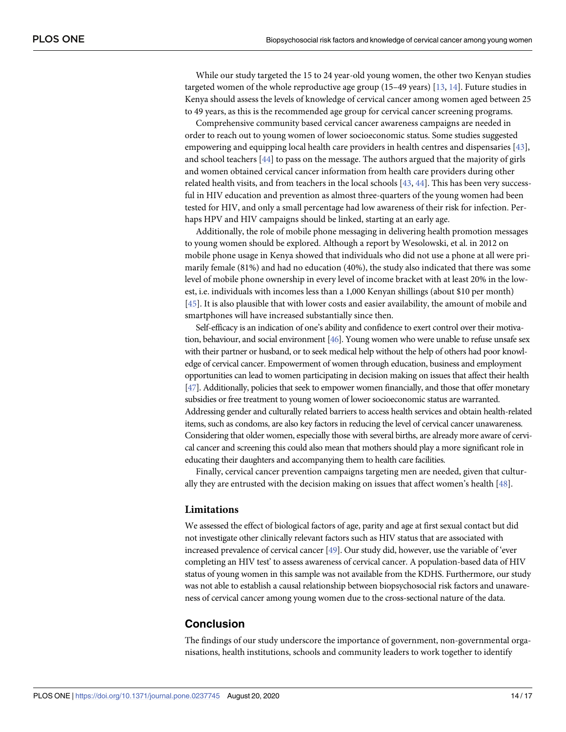<span id="page-14-0"></span>While our study targeted the 15 to 24 year-old young women, the other two Kenyan studies targeted women of the whole reproductive age group (15–49 years) [[13](#page-16-0), [14](#page-16-0)]. Future studies in Kenya should assess the levels of knowledge of cervical cancer among women aged between 25 to 49 years, as this is the recommended age group for cervical cancer screening programs.

Comprehensive community based cervical cancer awareness campaigns are needed in order to reach out to young women of lower socioeconomic status. Some studies suggested empowering and equipping local health care providers in health centres and dispensaries [\[43\]](#page-17-0), and school teachers [\[44\]](#page-17-0) to pass on the message. The authors argued that the majority of girls and women obtained cervical cancer information from health care providers during other related health visits, and from teachers in the local schools [[43](#page-17-0), [44](#page-17-0)]. This has been very successful in HIV education and prevention as almost three-quarters of the young women had been tested for HIV, and only a small percentage had low awareness of their risk for infection. Perhaps HPV and HIV campaigns should be linked, starting at an early age.

Additionally, the role of mobile phone messaging in delivering health promotion messages to young women should be explored. Although a report by Wesolowski, et al. in 2012 on mobile phone usage in Kenya showed that individuals who did not use a phone at all were primarily female (81%) and had no education (40%), the study also indicated that there was some level of mobile phone ownership in every level of income bracket with at least 20% in the lowest, i.e. individuals with incomes less than a 1,000 Kenyan shillings (about \$10 per month) [\[45\]](#page-17-0). It is also plausible that with lower costs and easier availability, the amount of mobile and smartphones will have increased substantially since then.

Self-efficacy is an indication of one's ability and confidence to exert control over their motivation, behaviour, and social environment [\[46](#page-17-0)]. Young women who were unable to refuse unsafe sex with their partner or husband, or to seek medical help without the help of others had poor knowledge of cervical cancer. Empowerment of women through education, business and employment opportunities can lead to women participating in decision making on issues that affect their health [\[47](#page-17-0)]. Additionally, policies that seek to empower women financially, and those that offer monetary subsidies or free treatment to young women of lower socioeconomic status are warranted. Addressing gender and culturally related barriers to access health services and obtain health-related items, such as condoms, are also key factors in reducing the level of cervical cancer unawareness. Considering that older women, especially those with several births, are already more aware of cervical cancer and screening this could also mean that mothers should play a more significant role in educating their daughters and accompanying them to health care facilities.

Finally, cervical cancer prevention campaigns targeting men are needed, given that culturally they are entrusted with the decision making on issues that affect women's health [[48](#page-17-0)].

#### **Limitations**

We assessed the effect of biological factors of age, parity and age at first sexual contact but did not investigate other clinically relevant factors such as HIV status that are associated with increased prevalence of cervical cancer [[49\]](#page-17-0). Our study did, however, use the variable of 'ever completing an HIV test' to assess awareness of cervical cancer. A population-based data of HIV status of young women in this sample was not available from the KDHS. Furthermore, our study was not able to establish a causal relationship between biopsychosocial risk factors and unawareness of cervical cancer among young women due to the cross-sectional nature of the data.

#### **Conclusion**

The findings of our study underscore the importance of government, non-governmental organisations, health institutions, schools and community leaders to work together to identify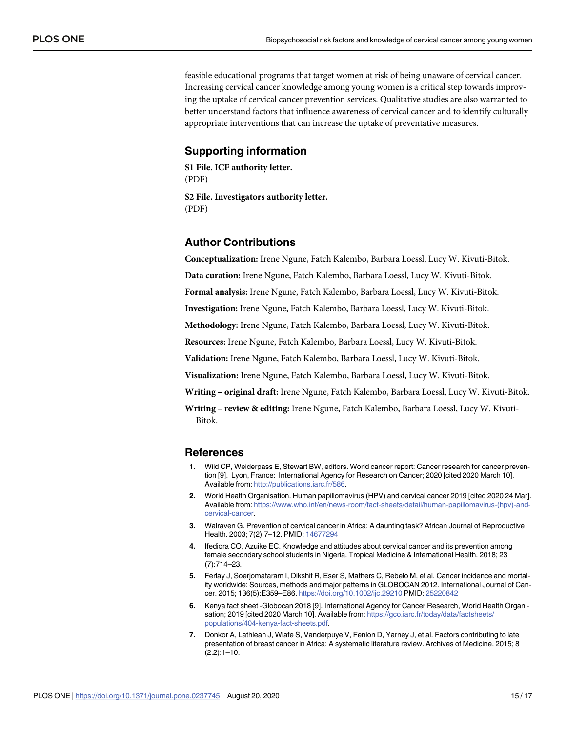<span id="page-15-0"></span>feasible educational programs that target women at risk of being unaware of cervical cancer. Increasing cervical cancer knowledge among young women is a critical step towards improving the uptake of cervical cancer prevention services. Qualitative studies are also warranted to better understand factors that influence awareness of cervical cancer and to identify culturally appropriate interventions that can increase the uptake of preventative measures.

# **Supporting information**

**S1 [File.](http://www.plosone.org/article/fetchSingleRepresentation.action?uri=info:doi/10.1371/journal.pone.0237745.s001) ICF authority letter.** (PDF)

**S2 [File.](http://www.plosone.org/article/fetchSingleRepresentation.action?uri=info:doi/10.1371/journal.pone.0237745.s002) Investigators authority letter.** (PDF)

# **Author Contributions**

**Conceptualization:** Irene Ngune, Fatch Kalembo, Barbara Loessl, Lucy W. Kivuti-Bitok.

**Data curation:** Irene Ngune, Fatch Kalembo, Barbara Loessl, Lucy W. Kivuti-Bitok.

**Formal analysis:** Irene Ngune, Fatch Kalembo, Barbara Loessl, Lucy W. Kivuti-Bitok.

**Investigation:** Irene Ngune, Fatch Kalembo, Barbara Loessl, Lucy W. Kivuti-Bitok.

**Methodology:** Irene Ngune, Fatch Kalembo, Barbara Loessl, Lucy W. Kivuti-Bitok.

**Resources:** Irene Ngune, Fatch Kalembo, Barbara Loessl, Lucy W. Kivuti-Bitok.

**Validation:** Irene Ngune, Fatch Kalembo, Barbara Loessl, Lucy W. Kivuti-Bitok.

**Visualization:** Irene Ngune, Fatch Kalembo, Barbara Loessl, Lucy W. Kivuti-Bitok.

**Writing – original draft:** Irene Ngune, Fatch Kalembo, Barbara Loessl, Lucy W. Kivuti-Bitok.

**Writing – review & editing:** Irene Ngune, Fatch Kalembo, Barbara Loessl, Lucy W. Kivuti-Bitok.

#### **References**

- **[1](#page-2-0).** Wild CP, Weiderpass E, Stewart BW, editors. World cancer report: Cancer research for cancer prevention [9]. Lyon, France: International Agency for Research on Cancer; 2020 [cited 2020 March 10]. Available from: <http://publications.iarc.fr/586>.
- **[2](#page-2-0).** World Health Organisation. Human papillomavirus (HPV) and cervical cancer 2019 [cited 2020 24 Mar]. Available from: [https://www.who.int/en/news-room/fact-sheets/detail/human-papillomavirus-\(hpv\)-and](https://www.who.int/en/news-room/fact-sheets/detail/human-papillomavirus-(hpv)-and-cervical-cancer)[cervical-cancer](https://www.who.int/en/news-room/fact-sheets/detail/human-papillomavirus-(hpv)-and-cervical-cancer).
- **[3](#page-2-0).** Walraven G. Prevention of cervical cancer in Africa: A daunting task? African Journal of Reproductive Health. 2003; 7(2):7–12. PMID: [14677294](http://www.ncbi.nlm.nih.gov/pubmed/14677294)
- **[4](#page-2-0).** Ifediora CO, Azuike EC. Knowledge and attitudes about cervical cancer and its prevention among female secondary school students in Nigeria. Tropical Medicine & International Health. 2018; 23 (7):714–23.
- **[5](#page-2-0).** Ferlay J, Soerjomataram I, Dikshit R, Eser S, Mathers C, Rebelo M, et al. Cancer incidence and mortality worldwide: Sources, methods and major patterns in GLOBOCAN 2012. International Journal of Cancer. 2015; 136(5):E359–E86. <https://doi.org/10.1002/ijc.29210> PMID: [25220842](http://www.ncbi.nlm.nih.gov/pubmed/25220842)
- **[6](#page-2-0).** Kenya fact sheet -Globocan 2018 [9]. International Agency for Cancer Research, World Health Organisation; 2019 [cited 2020 March 10]. Available from: [https://gco.iarc.fr/today/data/factsheets/](https://gco.iarc.fr/today/data/factsheets/populations/404-kenya-fact-sheets.pdf) [populations/404-kenya-fact-sheets.pdf.](https://gco.iarc.fr/today/data/factsheets/populations/404-kenya-fact-sheets.pdf)
- **[7](#page-2-0).** Donkor A, Lathlean J, Wiafe S, Vanderpuye V, Fenlon D, Yarney J, et al. Factors contributing to late presentation of breast cancer in Africa: A systematic literature review. Archives of Medicine. 2015; 8  $(2.2):1-10.$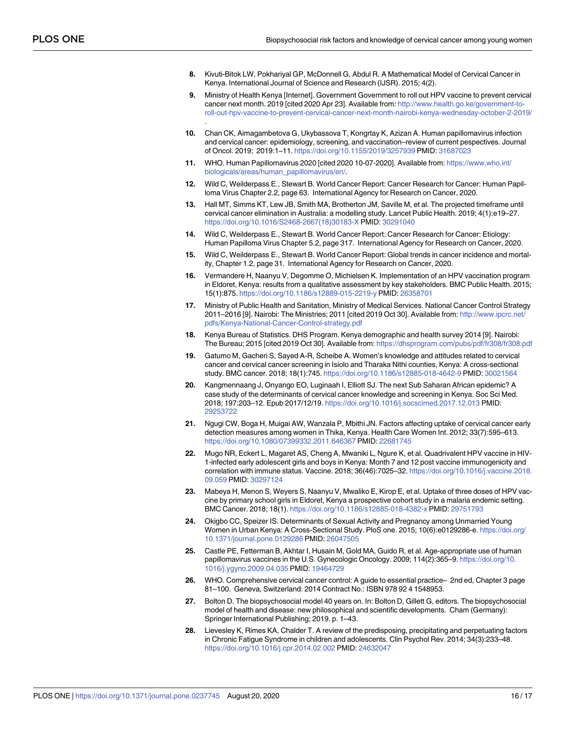- <span id="page-16-0"></span>**[8](#page-2-0).** Kivuti-Bitok LW, Pokhariyal GP, McDonnell G, Abdul R. A Mathematical Model of Cervical Cancer in Kenya. International Journal of Science and Research (IJSR). 2015; 4(2).
- **[9](#page-2-0).** Ministry of Health Kenya [Internet]. Government Government to roll out HPV vaccine to prevent cervical cancer next month. 2019 [cited 2020 Apr 23]. Available from: [http://www.health.go.ke/government-to](http://www.health.go.ke/government-to-roll-out-hpv-vaccine-to-prevent-cervical-cancer-next-month-nairobi-kenya-wednesday-october-2-2019/)[roll-out-hpv-vaccine-to-prevent-cervical-cancer-next-month-nairobi-kenya-wednesday-october-2-2019/](http://www.health.go.ke/government-to-roll-out-hpv-vaccine-to-prevent-cervical-cancer-next-month-nairobi-kenya-wednesday-october-2-2019/) .
- **[10](#page-2-0).** Chan CK, Aimagambetova G, Ukybassova T, Kongrtay K, Azizan A. Human papillomavirus infection and cervical cancer: epidemiology, screening, and vaccination–review of current pespectives. Journal of Oncol. 2019; 2019:1–11. <https://doi.org/10.1155/2019/3257939> PMID: [31687023](http://www.ncbi.nlm.nih.gov/pubmed/31687023)
- **[11](#page-2-0).** WHO. Human Papillomavirus 2020 [cited 2020 10-07-2020]. Available from: [https://www.who.int/](https://www.who.int/biologicals/areas/human_papillomavirus/en/) [biologicals/areas/human\\_papillomavirus/en/.](https://www.who.int/biologicals/areas/human_papillomavirus/en/)
- **[12](#page-2-0).** Wild C, Weilderpass E., Stewart B. World Cancer Report: Cancer Research for Cancer: Human Papilloma Virus Chapter 2.2, page 63. International Agency for Research on Cancer, 2020.
- **[13](#page-3-0).** Hall MT, Simms KT, Lew JB, Smith MA, Brotherton JM, Saville M, et al. The projected timeframe until cervical cancer elimination in Australia: a modelling study. Lancet Public Health. 2019; 4(1):e19–27. [https://doi.org/10.1016/S2468-2667\(18\)30183-X](https://doi.org/10.1016/S2468-2667(18)30183-X) PMID: [30291040](http://www.ncbi.nlm.nih.gov/pubmed/30291040)
- **[14](#page-3-0).** Wild C, Weilderpass E., Stewart B. World Cancer Report: Cancer Research for Cancer: Etiology: Human Papilloma Virus Chapter 5.2, page 317. International Agency for Research on Cancer, 2020.
- **[15](#page-3-0).** Wild C, Weilderpass E., Stewart B. World Cancer Report: Global trends in cancer incidence and mortality, Chapter 1.2, page 31. International Agency for Research on Cancer, 2020.
- **[16](#page-3-0).** Vermandere H, Naanyu V, Degomme O, Michielsen K. Implementation of an HPV vaccination program in Eldoret, Kenya: results from a qualitative assessment by key stakeholders. BMC Public Health. 2015; 15(1):875. <https://doi.org/10.1186/s12889-015-2219-y> PMID: [26358701](http://www.ncbi.nlm.nih.gov/pubmed/26358701)
- **[17](#page-3-0).** Ministry of Public Health and Sanitation, Ministry of Medical Services. National Cancer Control Strategy 2011–2016 [9]. Nairobi: The Ministries; 2011 [cited 2019 Oct 30]. Available from: [http://www.ipcrc.net/](http://www.ipcrc.net/pdfs/Kenya-National-Cancer-Control-strategy.pdf) [pdfs/Kenya-National-Cancer-Control-strategy.pdf](http://www.ipcrc.net/pdfs/Kenya-National-Cancer-Control-strategy.pdf)
- **[18](#page-3-0).** Kenya Bureau of Statistics. DHS Program. Kenya demographic and health survey 2014 [9]. Nairobi: The Bureau; 2015 [cited 2019 Oct 30]. Available from: <https://dhsprogram.com/pubs/pdf/fr308/fr308.pdf>
- **[19](#page-4-0).** Gatumo M, Gacheri S, Sayed A-R, Scheibe A. Women's knowledge and attitudes related to cervical cancer and cervical cancer screening in Isiolo and Tharaka Nithi counties, Kenya: A cross-sectional study. BMC cancer. 2018; 18(1):745. <https://doi.org/10.1186/s12885-018-4642-9> PMID: [30021564](http://www.ncbi.nlm.nih.gov/pubmed/30021564)
- **[20](#page-4-0).** Kangmennaang J, Onyango EO, Luginaah I, Elliott SJ. The next Sub Saharan African epidemic? A case study of the determinants of cervical cancer knowledge and screening in Kenya. Soc Sci Med. 2018; 197:203–12. Epub 2017/12/19. <https://doi.org/10.1016/j.socscimed.2017.12.013> PMID: [29253722](http://www.ncbi.nlm.nih.gov/pubmed/29253722)
- **[21](#page-4-0).** Ngugi CW, Boga H, Muigai AW, Wanzala P, Mbithi JN. Factors affecting uptake of cervical cancer early detection measures among women in Thika, Kenya. Health Care Women Int. 2012; 33(7):595–613. <https://doi.org/10.1080/07399332.2011.646367> PMID: [22681745](http://www.ncbi.nlm.nih.gov/pubmed/22681745)
- **[22](#page-4-0).** Mugo NR, Eckert L, Magaret AS, Cheng A, Mwaniki L, Ngure K, et al. Quadrivalent HPV vaccine in HIV-1-infected early adolescent girls and boys in Kenya: Month 7 and 12 post vaccine immunogenicity and correlation with immune status. Vaccine. 2018; 36(46):7025–32. [https://doi.org/10.1016/j.vaccine.2018.](https://doi.org/10.1016/j.vaccine.2018.09.059) [09.059](https://doi.org/10.1016/j.vaccine.2018.09.059) PMID: [30297124](http://www.ncbi.nlm.nih.gov/pubmed/30297124)
- **[23](#page-4-0).** Mabeya H, Menon S, Weyers S, Naanyu V, Mwaliko E, Kirop E, et al. Uptake of three doses of HPV vaccine by primary school girls in Eldoret, Kenya a prospective cohort study in a malaria endemic setting. BMC Cancer. 2018; 18(1). <https://doi.org/10.1186/s12885-018-4382-x> PMID: [29751793](http://www.ncbi.nlm.nih.gov/pubmed/29751793)
- **[24](#page-4-0).** Okigbo CC, Speizer IS. Determinants of Sexual Activity and Pregnancy among Unmarried Young Women in Urban Kenya: A Cross-Sectional Study. PloS one. 2015; 10(6):e0129286-e. [https://doi.org/](https://doi.org/10.1371/journal.pone.0129286) [10.1371/journal.pone.0129286](https://doi.org/10.1371/journal.pone.0129286) PMID: [26047505](http://www.ncbi.nlm.nih.gov/pubmed/26047505)
- **[25](#page-4-0).** Castle PE, Fetterman B, Akhtar I, Husain M, Gold MA, Guido R, et al. Age-appropriate use of human papillomavirus vaccines in the U.S. Gynecologic Oncology. 2009; 114(2):365–9. [https://doi.org/10.](https://doi.org/10.1016/j.ygyno.2009.04.035) [1016/j.ygyno.2009.04.035](https://doi.org/10.1016/j.ygyno.2009.04.035) PMID: [19464729](http://www.ncbi.nlm.nih.gov/pubmed/19464729)
- **[26](#page-4-0).** WHO. Comprehensive cervical cancer control: A guide to essential practice– 2nd ed, Chapter 3 page 81–100. Geneva, Switzerland: 2014 Contract No.: ISBN 978 92 4 1548953.
- **[27](#page-4-0).** Bolton D. The biopsychosocial model 40 years on. In: Bolton D, Gillett G, editors. The biopsychosocial model of health and disease: new philosophical and scientific developments. Cham (Germany): Springer International Publishing; 2019. p. 1–43.
- **[28](#page-3-0).** Lievesley K, Rimes KA, Chalder T. A review of the predisposing, precipitating and perpetuating factors in Chronic Fatigue Syndrome in children and adolescents. Clin Psychol Rev. 2014; 34(3):233–48. <https://doi.org/10.1016/j.cpr.2014.02.002> PMID: [24632047](http://www.ncbi.nlm.nih.gov/pubmed/24632047)